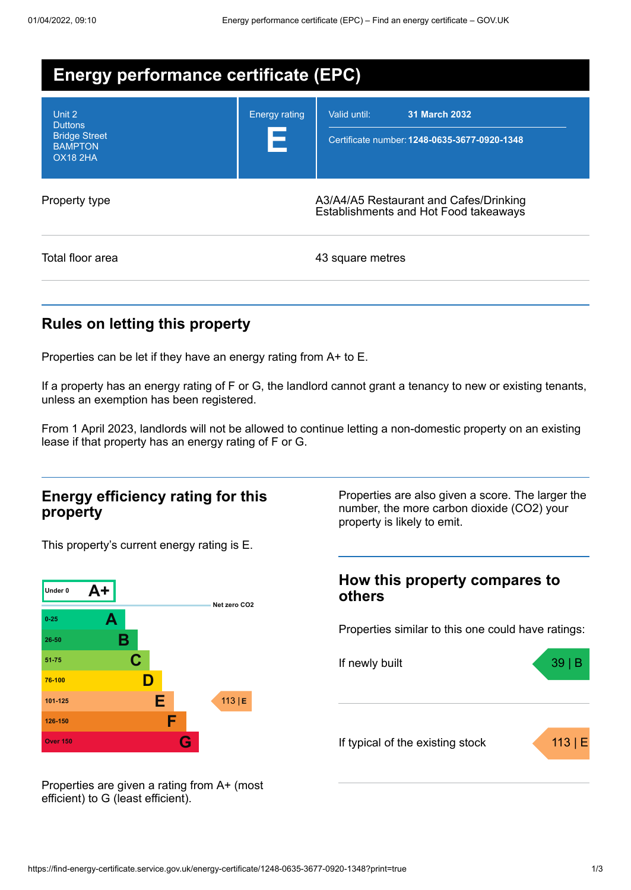| Energy performance certificate (EPC)                                                  |                      |                                                                                      |  |  |
|---------------------------------------------------------------------------------------|----------------------|--------------------------------------------------------------------------------------|--|--|
| Unit 2<br><b>Duttons</b><br><b>Bridge Street</b><br><b>BAMPTON</b><br><b>OX18 2HA</b> | <b>Energy rating</b> | Valid until:<br><b>31 March 2032</b><br>Certificate number: 1248-0635-3677-0920-1348 |  |  |
| Property type                                                                         |                      | A3/A4/A5 Restaurant and Cafes/Drinking<br>Establishments and Hot Food takeaways      |  |  |
| Total floor area                                                                      |                      | 43 square metres                                                                     |  |  |

# **Rules on letting this property**

Properties can be let if they have an energy rating from A+ to E.

If a property has an energy rating of F or G, the landlord cannot grant a tenancy to new or existing tenants, unless an exemption has been registered.

From 1 April 2023, landlords will not be allowed to continue letting a non-domestic property on an existing lease if that property has an energy rating of F or G.

### **Energy efficiency rating for this property**

This property's current energy rating is E.



Properties are also given a score. The larger the number, the more carbon dioxide (CO2) your property is likely to emit.

### **How this property compares to others**

Properties similar to this one could have ratings:



Properties are given a rating from A+ (most efficient) to G (least efficient).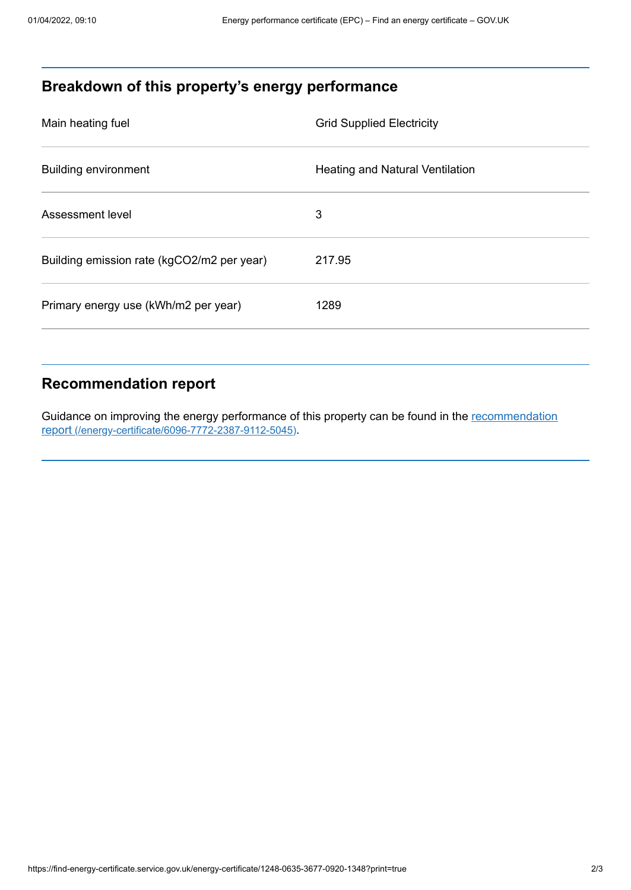# **Breakdown of this property's energy performance**

| Main heating fuel                          | <b>Grid Supplied Electricity</b>       |
|--------------------------------------------|----------------------------------------|
| <b>Building environment</b>                | <b>Heating and Natural Ventilation</b> |
| Assessment level                           | 3                                      |
| Building emission rate (kgCO2/m2 per year) | 217.95                                 |
| Primary energy use (kWh/m2 per year)       | 1289                                   |

### **Recommendation report**

Guidance on improving the energy performance of this property can be found in the recommendation report [\(/energy-certificate/6096-7772-2387-9112-5045\)](https://find-energy-certificate.service.gov.uk/energy-certificate/6096-7772-2387-9112-5045).